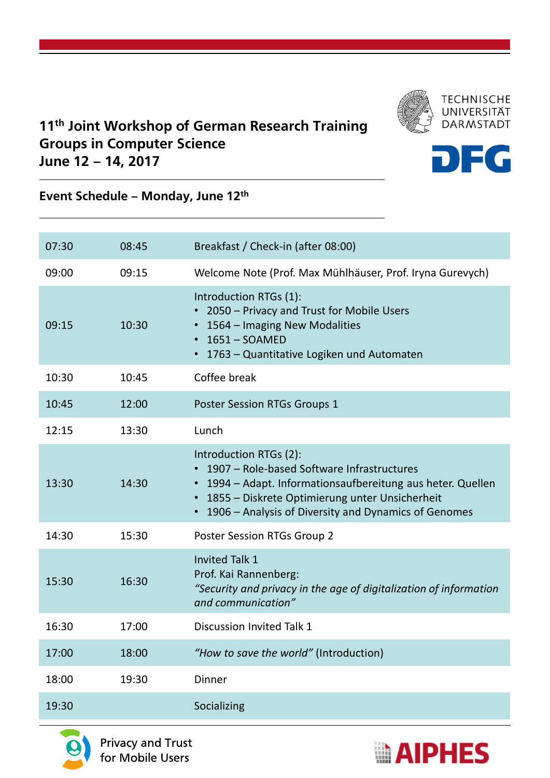

## 11<sup>th</sup> Joint Workshop of German Research Training Groups in Computer Science June 12 – 14, 2017



## Event Schedule – Monday, June 12th

| 07:30 | 08:45 | Breakfast / Check-in (after 08:00)                                                                                                                                                                                                                  |
|-------|-------|-----------------------------------------------------------------------------------------------------------------------------------------------------------------------------------------------------------------------------------------------------|
| 09:00 | 09:15 | Welcome Note (Prof. Max Mühlhäuser, Prof. Iryna Gurevych)                                                                                                                                                                                           |
| 09:15 | 10:30 | Introduction RTGs (1):<br>• 2050 – Privacy and Trust for Mobile Users<br>• 1564 – Imaging New Modalities<br>$\cdot$ 1651 - SOAMED<br>• 1763 - Quantitative Logiken und Automaten                                                                    |
| 10:30 | 10:45 | Coffee break                                                                                                                                                                                                                                        |
| 10:45 | 12:00 | <b>Poster Session RTGs Groups 1</b>                                                                                                                                                                                                                 |
| 12:15 | 13:30 | Lunch                                                                                                                                                                                                                                               |
| 13:30 | 14:30 | Introduction RTGs (2):<br>• 1907 – Role-based Software Infrastructures<br>• 1994 – Adapt. Informationsaufbereitung aus heter. Quellen<br>• 1855 - Diskrete Optimierung unter Unsicherheit<br>• 1906 – Analysis of Diversity and Dynamics of Genomes |
| 14:30 | 15:30 | <b>Poster Session RTGs Group 2</b>                                                                                                                                                                                                                  |
| 15:30 | 16:30 | <b>Invited Talk 1</b><br>Prof. Kai Rannenberg:<br>"Security and privacy in the age of digitalization of information<br>and communication"                                                                                                           |
| 16:30 | 17:00 | Discussion Invited Talk 1                                                                                                                                                                                                                           |
| 17:00 | 18:00 | "How to save the world" (Introduction)                                                                                                                                                                                                              |
| 18:00 | 19:30 | Dinner                                                                                                                                                                                                                                              |
| 19:30 |       | Socializing                                                                                                                                                                                                                                         |



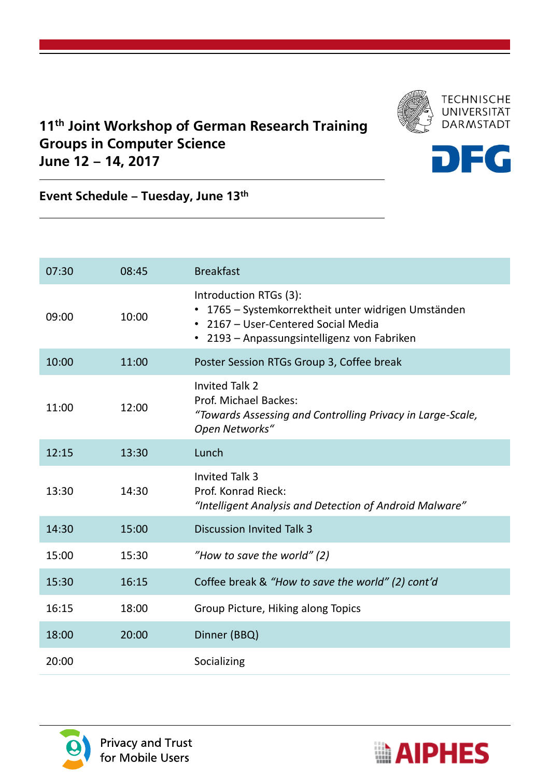

## 11<sup>th</sup> Joint Workshop of German Research Training Groups in Computer Science June 12 – 14, 2017



Event Schedule – Tuesday, June 13th

| 07:30 | 08:45 | <b>Breakfast</b>                                                                                                                                                  |
|-------|-------|-------------------------------------------------------------------------------------------------------------------------------------------------------------------|
| 09:00 | 10:00 | Introduction RTGs (3):<br>1765 – Systemkorrektheit unter widrigen Umständen<br>• 2167 - User-Centered Social Media<br>• 2193 - Anpassungsintelligenz von Fabriken |
| 10:00 | 11:00 | Poster Session RTGs Group 3, Coffee break                                                                                                                         |
| 11:00 | 12:00 | <b>Invited Talk 2</b><br>Prof. Michael Backes:<br>"Towards Assessing and Controlling Privacy in Large-Scale,<br>Open Networks"                                    |
| 12:15 | 13:30 | Lunch                                                                                                                                                             |
| 13:30 | 14:30 | <b>Invited Talk 3</b><br>Prof. Konrad Rieck:                                                                                                                      |
|       |       | "Intelligent Analysis and Detection of Android Malware"                                                                                                           |
| 14:30 | 15:00 | <b>Discussion Invited Talk 3</b>                                                                                                                                  |
| 15:00 | 15:30 | "How to save the world" (2)                                                                                                                                       |
| 15:30 | 16:15 | Coffee break & "How to save the world" (2) cont'd                                                                                                                 |
| 16:15 | 18:00 | Group Picture, Hiking along Topics                                                                                                                                |
| 18:00 | 20:00 | Dinner (BBQ)                                                                                                                                                      |